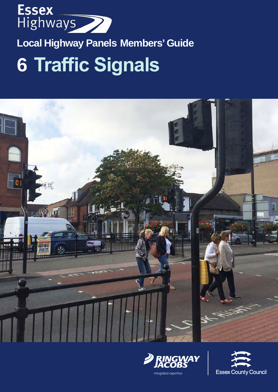

# **Local Highway Panels Members' Guide**

# **6 Traffic Signals**





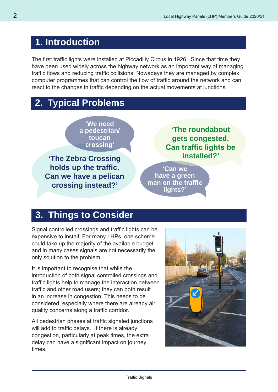## **1. Introduction**

The first traffic lights were installed at Piccadilly Circus in 1926. Since that time they have been used widely across the highway network as an important way of managing traffic flows and reducing traffic collisions. Nowadays they are managed by complex computer programmes that can control the flow of traffic around the network and can react to the changes in traffic depending on the actual movements at junctions.

## **2. Typical Problems**

**'We need a pedestrian/ toucan crossing'**

**'The Zebra Crossing holds up the traffic. Can we have a pelican crossing instead?'**

**'The roundabout gets congested. Can traffic lights be installed?'**

**'Can we have a green man on the traffic lights?'**

### **3. Things to Consider**

Signal controlled crossings and traffic lights can be expensive to install. For many LHPs, one scheme could take up the majority of the available budget and in many cases signals are not necessarily the only solution to the problem.

It is important to recognise that while the introduction of both signal controlled crossings and traffic lights help to manage the interaction between traffic and other road users; they can both result in an increase in congestion. This needs to be considered, especially where there are already air quality concerns along a traffic corridor.

All pedestrian phases at traffic signaled junctions will add to traffic delays. If there is already congestion, particularly at peak times, the extra delay can have a significant impact on journey times.

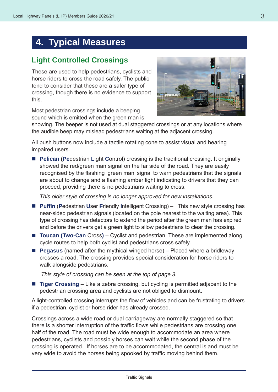## **4. Typical Measures**

#### **Light Controlled Crossings**

These are used to help pedestrians, cyclists and horse riders to cross the road safely. The public tend to consider that these are a safer type of crossing, though there is no evidence to support this.

Most pedestrian crossings include a beeping sound which is emitted when the green man is



showing. The beeper is not used at dual staggered crossings or at any locations where the audible beep may mislead pedestrians waiting at the adjacent crossing.

All push buttons now include a tactile rotating cone to assist visual and hearing impaired users.

■ **Pelican (Pedestrian Light Control) crossing is the traditional crossing. It originally** showed the red/green man signal on the far side of the road. They are easily recognised by the flashing 'green man' signal to warn pedestrians that the signals are about to change and a flashing amber light indicating to drivers that they can proceed, providing there is no pedestrians waiting to cross.

*This older style of crossing is no longer approved for new installations.*

- **Puffin (Pedestrian User Friendly Intelligent Crossing) This new style crossing has** near-sided pedestrian signals (located on the pole nearest to the waiting area). This type of crossing has detectors to extend the period after the green man has expired and before the drivers get a green light to allow pedestrians to clear the crossing.
- **Toucan (Two-Can** Cross) Cyclist and pedestrian. These are implemented along cycle routes to help both cyclist and pedestrians cross safely.
- **Pegasus** (named after the mythical winged horse) Placed where a bridleway crosses a road. The crossing provides special consideration for horse riders to walk alongside pedestrians.

*This style of crossing can be seen at the top of page 3.*

■ **Tiger Crossing** – Like a zebra crossing, but cycling is permitted adjacent to the pedestrian crossing area and cyclists are not obliged to dismount.

A light-controlled crossing interrupts the flow of vehicles and can be frustrating to drivers if a pedestrian, cyclist or horse rider has already crossed.

Crossings across a wide road or dual carriageway are normally staggered so that there is a shorter interruption of the traffic flows while pedestrians are crossing one half of the road. The road must be wide enough to accommodate an area where pedestrians, cyclists and possibly horses can wait while the second phase of the crossing is operated. If horses are to be accommodated, the central island must be very wide to avoid the horses being spooked by traffic moving behind them.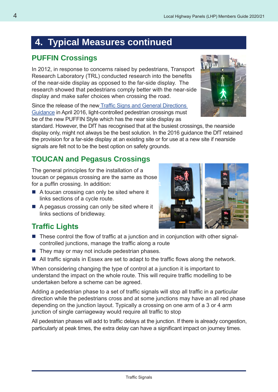## **4. Typical Measures continued**

#### **PUFFIN Crossings**

In 2012, in response to concerns raised by pedestrians, Transport Research Laboratory (TRL) conducted research into the benefits of the near-side display as opposed to the far-side display. The research showed that pedestrians comply better with the near-side display and make safer choices when crossing the road.

Since the release of the new Traffic Signs and General Directions Guidance in April 2016, light-controlled pedestrian crossings must be of the new PUFFIN Style which has the near side display as

standard. However, the DfT has recognised that at the busiest crossings, the nearside display only, might not always be the best solution. In the 2016 guidance the DfT retained the provision for a far-side display at an existing site or for use at a new site if nearside signals are felt not to be the best option on safety grounds.

#### **TOUCAN and Pegasus Crossings**

The general principles for the installation of a toucan or pegasus crossing are the same as those for a puffin crossing. In addition:

- A toucan crossing can only be sited where it links sections of a cycle route.
- $\blacksquare$  A pegasus crossing can only be sited where it links sections of bridleway.



#### **Traffic Lights**

- These control the flow of traffic at a junction and in conjunction with other signalcontrolled junctions, manage the traffic along a route
- $\blacksquare$  They may or may not include pedestrian phases.
- All traffic signals in Essex are set to adapt to the traffic flows along the network.

When considering changing the type of control at a junction it is important to understand the impact on the whole route. This will require traffic modelling to be undertaken before a scheme can be agreed.

Adding a pedestrian phase to a set of traffic signals will stop all traffic in a particular direction while the pedestrians cross and at some junctions may have an all red phase depending on the junction layout. Typically a crossing on one arm of a 3 or 4 arm junction of single carriageway would require all traffic to stop

All pedestrian phases will add to traffic delays at the junction. If there is already congestion, particularly at peak times, the extra delay can have a significant impact on journey times.

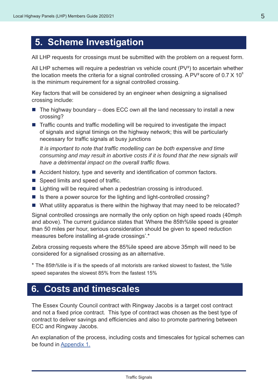## **5. Scheme Investigation**

All LHP requests for crossings must be submitted with the problem on a request form.

All LHP schemes will require a pedestrian vs vehicle count (PV<sup>2</sup>) to ascertain whether the location meets the criteria for a signal controlled crossing. A PV<sup>2</sup> score of 0.7  $\times$  10<sup>8</sup> is the minimum requirement for a signal controlled crossing.

Key factors that will be considered by an engineer when designing a signalised crossing include:

- $\blacksquare$  The highway boundary does ECC own all the land necessary to install a new crossing?
- $\blacksquare$  Traffic counts and traffic modelling will be required to investigate the impact of signals and signal timings on the highway network; this will be particularly necessary for traffic signals at busy junctions

 *It is important to note that traffic modelling can be both expensive and time consuming and may result in abortive costs if it is found that the new signals will have a detrimental impact on the overall traffic flows.*

- Accident history, type and severity and identification of common factors.
- Speed limits and speed of traffic.
- Lighting will be required when a pedestrian crossing is introduced.
- $\blacksquare$  Is there a power source for the lighting and light-controlled crossing?
- What utility apparatus is there within the highway that may need to be relocated?

Signal controlled crossings are normally the only option on high speed roads (40mph and above). The current guidance states that 'Where the 85th%tile speed is greater than 50 miles per hour, serious consideration should be given to speed reduction measures before installing at-grade crossings'.\*

Zebra crossing requests where the 85%ile speed are above 35mph will need to be considered for a signalised crossing as an alternative.

\* The 85th%tile is if is the speeds of all motorists are ranked slowest to fastest, the %tile speed separates the slowest 85% from the fastest 15%

### **6. Costs and timescales**

The Essex County Council contract with Ringway Jacobs is a target cost contract and not a fixed price contract. This type of contract was chosen as the best type of contract to deliver savings and efficiencies and also to promote partnering between ECC and Ringway Jacobs.

An explanation of the process, including costs and timescales for typical schemes can be found in Appendix 1.